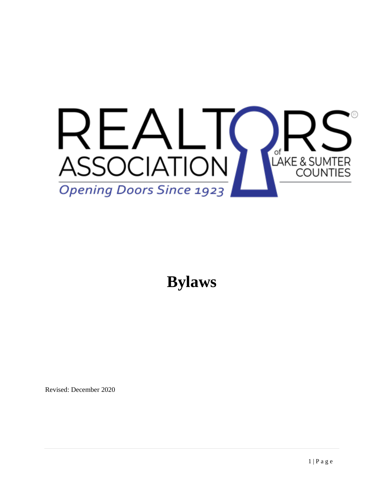

**Bylaws**

Revised: December 2020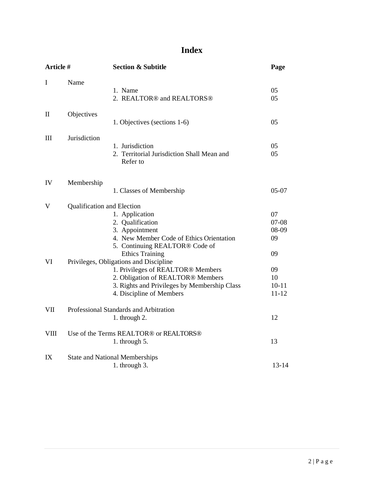# **Index**

| Article # |                            | <b>Section &amp; Subtitle</b>                                                                                                                                                                | Page                                 |  |
|-----------|----------------------------|----------------------------------------------------------------------------------------------------------------------------------------------------------------------------------------------|--------------------------------------|--|
| I         | Name                       | 1. Name<br>2. REALTOR <sup>®</sup> and REALTORS <sup>®</sup>                                                                                                                                 | 05<br>05                             |  |
| II        | Objectives                 | 1. Objectives (sections 1-6)                                                                                                                                                                 | 05                                   |  |
| Ш         | Jurisdiction               | 1. Jurisdiction<br>2. Territorial Jurisdiction Shall Mean and<br>Refer to                                                                                                                    | 05<br>05                             |  |
| IV        | Membership                 | 1. Classes of Membership                                                                                                                                                                     | $05-07$                              |  |
| V         | Qualification and Election | 1. Application<br>2. Qualification<br>3. Appointment<br>4. New Member Code of Ethics Orientation<br>5. Continuing REALTOR® Code of<br><b>Ethics Training</b>                                 | 07<br>$07 - 08$<br>08-09<br>09<br>09 |  |
| VI        |                            | Privileges, Obligations and Discipline<br>1. Privileges of REALTOR® Members<br>2. Obligation of REALTOR® Members<br>3. Rights and Privileges by Membership Class<br>4. Discipline of Members | 09<br>10<br>$10 - 11$<br>$11 - 12$   |  |
| VII       |                            | Professional Standards and Arbitration<br>1. through 2.                                                                                                                                      | 12                                   |  |
| VIII      |                            | Use of the Terms REALTOR® or REALTORS®<br>1. through 5.                                                                                                                                      | 13                                   |  |
| IX        |                            | <b>State and National Memberships</b><br>1. through 3.                                                                                                                                       | $13 - 14$                            |  |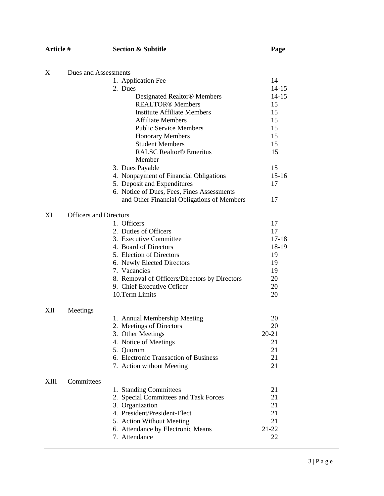## **Article # Section & Subtitle Page**

| X    | Dues and Assessments          |                                               |           |  |
|------|-------------------------------|-----------------------------------------------|-----------|--|
|      |                               | 1. Application Fee                            | 14        |  |
|      |                               | 2. Dues                                       | $14 - 15$ |  |
|      |                               | Designated Realtor® Members                   | $14 - 15$ |  |
|      |                               | <b>REALTOR®</b> Members                       | 15        |  |
|      |                               | <b>Institute Affiliate Members</b>            | 15        |  |
|      |                               | <b>Affiliate Members</b>                      | 15        |  |
|      |                               | <b>Public Service Members</b>                 | 15        |  |
|      |                               | <b>Honorary Members</b>                       | 15        |  |
|      |                               | <b>Student Members</b>                        | 15        |  |
|      |                               | <b>RALSC Realtor® Emeritus</b>                | 15        |  |
|      |                               | Member                                        |           |  |
|      |                               | 3. Dues Payable                               | 15        |  |
|      |                               | 4. Nonpayment of Financial Obligations        | $15-16$   |  |
|      |                               | 5. Deposit and Expenditures                   | 17        |  |
|      |                               | 6. Notice of Dues, Fees, Fines Assessments    |           |  |
|      |                               | and Other Financial Obligations of Members    | 17        |  |
|      |                               |                                               |           |  |
| XI   | <b>Officers and Directors</b> |                                               |           |  |
|      |                               | 1. Officers                                   | 17        |  |
|      |                               | 2. Duties of Officers                         | 17        |  |
|      |                               | 3. Executive Committee                        | $17 - 18$ |  |
|      |                               | 4. Board of Directors                         | 18-19     |  |
|      |                               | 5. Election of Directors                      | 19        |  |
|      |                               | 6. Newly Elected Directors                    | 19        |  |
|      |                               | 7. Vacancies                                  | 19        |  |
|      |                               | 8. Removal of Officers/Directors by Directors | 20        |  |
|      |                               | 9. Chief Executive Officer                    | 20        |  |
|      |                               | 10.Term Limits                                | 20        |  |
|      |                               |                                               |           |  |
| XII  | Meetings                      | 1. Annual Membership Meeting                  | 20        |  |
|      |                               | 2. Meetings of Directors                      | 20        |  |
|      |                               | 3. Other Meetings                             | $20 - 21$ |  |
|      |                               | 4. Notice of Meetings                         | 21        |  |
|      |                               | 5. Quorum                                     | 21        |  |
|      |                               | 6. Electronic Transaction of Business         | 21        |  |
|      |                               | 7. Action without Meeting                     | 21        |  |
|      |                               |                                               |           |  |
| XIII | Committees                    |                                               |           |  |
|      |                               | 1. Standing Committees                        | 21        |  |
|      |                               | 2. Special Committees and Task Forces         | 21        |  |
|      |                               | 3. Organization                               | 21        |  |
|      |                               | 4. President/President-Elect                  | 21        |  |
|      |                               | 5. Action Without Meeting                     | 21        |  |
|      |                               | 6. Attendance by Electronic Means             | $21 - 22$ |  |
|      |                               | 7. Attendance                                 | 22        |  |
|      |                               |                                               |           |  |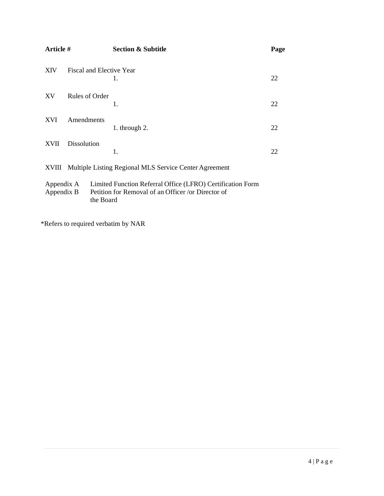| Article #                                                       |                          |           | <b>Section &amp; Subtitle</b>                                                                                    | Page |
|-----------------------------------------------------------------|--------------------------|-----------|------------------------------------------------------------------------------------------------------------------|------|
| XIV                                                             | Fiscal and Elective Year |           | 1.                                                                                                               | 22   |
| XV                                                              | Rules of Order           |           | 1.                                                                                                               | 22   |
| <b>XVI</b>                                                      | Amendments               |           | 1. through 2.                                                                                                    | 22   |
| <b>XVII</b>                                                     | <b>Dissolution</b>       |           | 1.                                                                                                               | 22   |
| Multiple Listing Regional MLS Service Center Agreement<br>XVIII |                          |           |                                                                                                                  |      |
| Appendix A<br>Appendix B                                        |                          | the Board | Limited Function Referral Office (LFRO) Certification Form<br>Petition for Removal of an Officer /or Director of |      |

\*Refers to required verbatim by NAR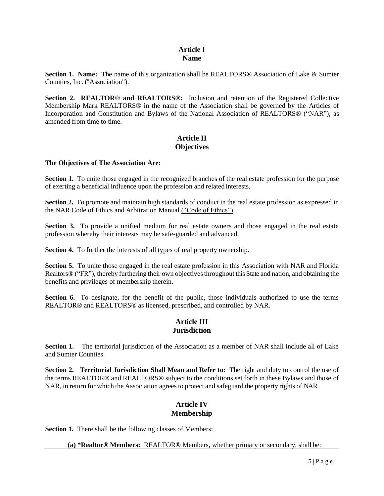## **Article I Name**

**Section 1. Name:** The name of this organization shall be REALTORS® Association of Lake & Sumter Counties, Inc. ("Association").

**Section 2. REALTOR® and REALTORS®:** Inclusion and retention of the Registered Collective Membership Mark REALTORS® in the name of the Association shall be governed by the Articles of Incorporation and Constitution and Bylaws of the National Association of REALTORS® ("NAR"), as amended from time to time.

## **Article II Objectives**

#### **The Objectives of The Association Are:**

**Section 1.** To unite those engaged in the recognized branches of the real estate profession for the purpose of exerting a beneficial influence upon the profession and related interests.

**Section 2.** To promote and maintain high standards of conduct in the real estate profession as expressed in the NAR Code of Ethics and Arbitration Manual ("Code of Ethics").

**Section 3.** To provide a unified medium for real estate owners and those engaged in the real estate profession whereby their interests may be safe-guarded and advanced.

**Section 4.** To further the interests of all types of real property ownership.

**Section 5.** To unite those engaged in the real estate profession in this Association with NAR and Florida Realtors<sup>®</sup> ("FR"), thereby furthering their own objectives throughout this State and nation, and obtaining the benefits and privileges of membership therein.

**Section 6.** To designate, for the benefit of the public, those individuals authorized to use the terms REALTOR® and REALTORS® as licensed, prescribed, and controlled by NAR.

## **Article III Jurisdiction**

**Section 1.** The territorial jurisdiction of the Association as a member of NAR shall include all of Lake and Sumter Counties.

**Section 2. Territorial Jurisdiction Shall Mean and Refer to:** The right and duty to control the use of the terms REALTOR® and REALTORS® subject to the conditions set forth in these Bylaws and those of NAR, in return for which the Association agrees to protect and safeguard the property rights of NAR.

## **Article IV Membership**

**Section 1.** There shall be the following classes of Members:

**(a) \*Realtor® Members:** REALTOR® Members, whether primary or secondary, shall be: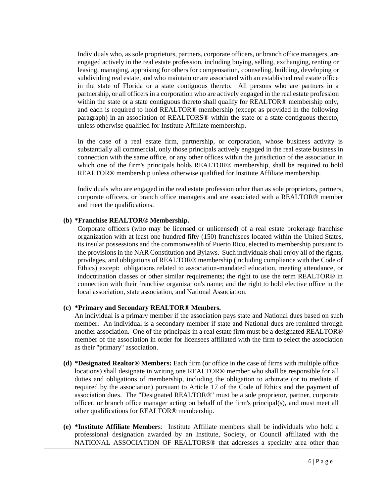Individuals who, as sole proprietors, partners, corporate officers, or branch office managers, are engaged actively in the real estate profession, including buying, selling, exchanging, renting or leasing, managing, appraising for others for compensation, counseling, building, developing or subdividing real estate, and who maintain or are associated with an established real estate office in the state of Florida or a state contiguous thereto. All persons who are partners in a partnership, or all officers in a corporation who are actively engaged in the real estate profession within the state or a state contiguous thereto shall qualify for REALTOR® membership only, and each is required to hold REALTOR® membership (except as provided in the following paragraph) in an association of REALTORS® within the state or a state contiguous thereto, unless otherwise qualified for Institute Affiliate membership.

In the case of a real estate firm, partnership, or corporation, whose business activity is substantially all commercial, only those principals actively engaged in the real estate business in connection with the same office, or any other offices within the jurisdiction of the association in which one of the firm's principals holds REALTOR® membership, shall be required to hold REALTOR® membership unless otherwise qualified for Institute Affiliate membership.

Individuals who are engaged in the real estate profession other than as sole proprietors, partners, corporate officers, or branch office managers and are associated with a REALTOR® member and meet the qualifications.

#### **(b) \*Franchise REALTOR® Membership.**

Corporate officers (who may be licensed or unlicensed) of a real estate brokerage franchise organization with at least one hundred fifty (150) franchisees located within the United States, its insular possessions and the commonwealth of Puerto Rico, elected to membership pursuant to the provisions in the NAR Constitution and Bylaws. Such individuals shall enjoy all of the rights, privileges, and obligations of REALTOR® membership (including compliance with the Code of Ethics) except: obligations related to association-mandated education, meeting attendance, or indoctrination classes or other similar requirements; the right to use the term REALTOR® in connection with their franchise organization's name; and the right to hold elective office in the local association, state association, and National Association.

#### **(c) \*Primary and Secondary REALTOR® Members.**

An individual is a primary member if the association pays state and National dues based on such member. An individual is a secondary member if state and National dues are remitted through another association. One of the principals in a real estate firm must be a designated REALTOR® member of the association in order for licensees affiliated with the firm to select the association as their "primary" association.

- **(d) \*Designated Realtor® Members:** Each firm (or office in the case of firms with multiple office locations) shall designate in writing one REALTOR® member who shall be responsible for all duties and obligations of membership, including the obligation to arbitrate (or to mediate if required by the association) pursuant to Article 17 of the Code of Ethics and the payment of association dues. The "Designated REALTOR®" must be a sole proprietor, partner, corporate officer, or branch office manager acting on behalf of the firm's principal(s), and must meet all other qualifications for REALTOR® membership.
- **(e) \*Institute Affiliate Member**s: Institute Affiliate members shall be individuals who hold a professional designation awarded by an Institute, Society, or Council affiliated with the NATIONAL ASSOCIATION OF REALTORS® that addresses a specialty area other than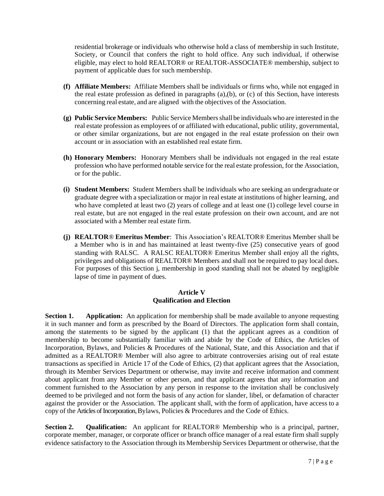residential brokerage or individuals who otherwise hold a class of membership in such Institute, Society, or Council that confers the right to hold office. Any such individual, if otherwise eligible, may elect to hold REALTOR® or REALTOR-ASSOCIATE® membership, subject to payment of applicable dues for such membership.

- **(f) Affiliate Members:** Affiliate Members shall be individuals or firms who, while not engaged in the real estate profession as defined in paragraphs (a),(b), or (c) of this Section, have interests concerning real estate, and are aligned with the objectives of the Association.
- **(g) Public Service Members:** Public Service Membersshall be individuals who are interested in the real estate profession as employees of or affiliated with educational, public utility, governmental, or other similar organizations, but are not engaged in the real estate profession on their own account or in association with an established real estate firm.
- **(h) Honorary Members:** Honorary Members shall be individuals not engaged in the real estate profession who have performed notable service for the real estate profession, for the Association, or for the public.
- **(i) Student Members:** Student Members shall be individuals who are seeking an undergraduate or graduate degree with a specialization or major in real estate at institutions of higher learning, and who have completed at least two (2) years of college and at least one (1) college level course in real estate, but are not engaged in the real estate profession on their own account, and are not associated with a Member real estate firm.
- **(j) REALTOR**® **Emeritus Member**: This Association's REALTOR® Emeritus Member shall be a Member who is in and has maintained at least twenty-five (25) consecutive years of good standing with RALSC. A RALSC REALTOR® Emeritus Member shall enjoy all the rights, privileges and obligations of REALTOR® Members and shall not be required to pay local dues. For purposes of this Section j, membership in good standing shall not be abated by negligible lapse of time in payment of dues.

#### **Article V Qualification and Election**

**Section 1. Application:** An application for membership shall be made available to anyone requesting it in such manner and form as prescribed by the Board of Directors. The application form shall contain, among the statements to be signed by the applicant (1) that the applicant agrees as a condition of membership to become substantially familiar with and abide by the Code of Ethics, the Articles of Incorporation, Bylaws, and Policies & Procedures of the National, State, and this Association and that if admitted as a REALTOR® Member will also agree to arbitrate controversies arising out of real estate transactions as specified in Article 17 of the Code of Ethics, (2) that applicant agrees that the Association, through its Member Services Department or otherwise, may invite and receive information and comment about applicant from any Member or other person, and that applicant agrees that any information and comment furnished to the Association by any person in response to the invitation shall be conclusively deemed to be privileged and not form the basis of any action for slander, libel, or defamation of character against the provider or the Association. The applicant shall, with the form of application, have access to a copy of the Articles of Incorporation, Bylaws, Policies & Procedures and the Code of Ethics.

**Section 2. Qualification:** An applicant for REALTOR® Membership who is a principal, partner, corporate member, manager, or corporate officer or branch office manager of a real estate firm shall supply evidence satisfactory to the Association through its Membership Services Department or otherwise, that the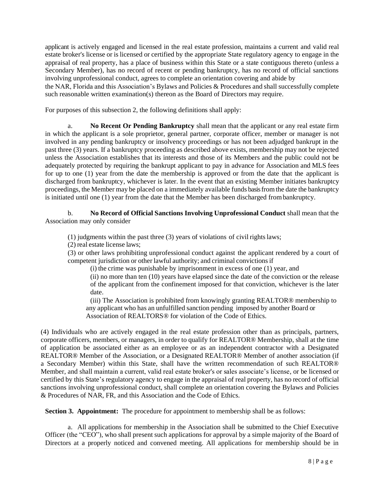applicant is actively engaged and licensed in the real estate profession, maintains a current and valid real estate broker's license or is licensed or certified by the appropriate State regulatory agency to engage in the appraisal of real property, has a place of business within this State or a state contiguous thereto (unless a Secondary Member), has no record of recent or pending bankruptcy, has no record of official sanctions involving unprofessional conduct, agrees to complete an orientation covering and abide by

the NAR, Florida and this Association's Bylaws and Policies & Procedures and shall successfully complete such reasonable written examination(s) thereon as the Board of Directors may require.

For purposes of this subsection 2, the following definitions shall apply:

a. **No Recent Or Pending Bankruptcy** shall mean that the applicant or any real estate firm in which the applicant is a sole proprietor, general partner, corporate officer, member or manager is not involved in any pending bankruptcy or insolvency proceedings or has not been adjudged bankrupt in the past three (3) years. If a bankruptcy proceeding as described above exists, membership may not be rejected unless the Association establishes that its interests and those of its Members and the public could not be adequately protected by requiring the bankrupt applicant to pay in advance for Association and MLS fees for up to one (1) year from the date the membership is approved or from the date that the applicant is discharged from bankruptcy, whichever is later. In the event that an existing Member initiates bankruptcy proceedings, the Member may be placed on a immediately available funds basis fromthe date the bankruptcy is initiated until one (1) year from the date that the Member has been discharged frombankruptcy.

b. **No Record of Official Sanctions Involving Unprofessional Conduct** shall mean that the Association may only consider

(1) judgments within the past three  $(3)$  years of violations of civil rights laws;

(2) real estate license laws;

(3) or other laws prohibiting unprofessional conduct against the applicant rendered by a court of competent jurisdiction or other lawful authority; and criminal convictionsif

(i) the crime was punishable by imprisonment in excess of one (1) year, and

(ii) no more than ten (10) years have elapsed since the date of the conviction or the release of the applicant from the confinement imposed for that conviction, whichever is the later date.

(iii) The Association is prohibited from knowingly granting REALTOR® membership to any applicant who has an unfulfilled sanction pending imposed by another Board or Association of REALTORS® for violation of the Code of Ethics.

(4) Individuals who are actively engaged in the real estate profession other than as principals, partners, corporate officers, members, or managers, in order to qualify for REALTOR® Membership, shall at the time of application be associated either as an employee or as an independent contractor with a Designated REALTOR® Member of the Association, or a Designated REALTOR® Member of another association (if a Secondary Member) within this State, shall have the written recommendation of such REALTOR® Member, and shall maintain a current, valid real estate broker's or sales associate's license, or be licensed or certified by this State's regulatory agency to engage in the appraisal of real property, has no record of official sanctions involving unprofessional conduct, shall complete an orientation covering the Bylaws and Policies & Procedures of NAR, FR, and this Association and the Code of Ethics.

**Section 3. Appointment:** The procedure for appointment to membership shall be as follows:

a. All applications for membership in the Association shall be submitted to the Chief Executive Officer (the "CEO"), who shall present such applications for approval by a simple majority of the Board of Directors at a properly noticed and convened meeting. All applications for membership should be in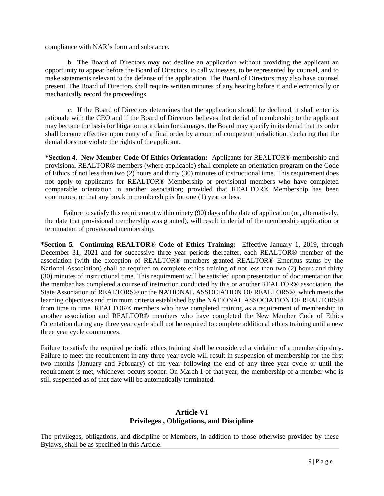compliance with NAR's form and substance.

b. The Board of Directors may not decline an application without providing the applicant an opportunity to appear before the Board of Directors, to call witnesses, to be represented by counsel, and to make statements relevant to the defense of the application. The Board of Directors may also have counsel present. The Board of Directors shall require written minutes of any hearing before it and electronically or mechanically record the proceedings.

c. If the Board of Directors determines that the application should be declined, it shall enter its rationale with the CEO and if the Board of Directors believes that denial of membership to the applicant may become the basis for litigation or a claim for damages, the Board may specify in its denial that its order shall become effective upon entry of a final order by a court of competent jurisdiction, declaring that the denial does not violate the rights of the applicant.

**\*Section 4. New Member Code Of Ethics Orientation:** Applicants for REALTOR® membership and provisional REALTOR® members (where applicable) shall complete an orientation program on the Code of Ethics of not less than two (2) hours and thirty (30) minutes of instructional time. This requirement does not apply to applicants for REALTOR® Membership or provisional members who have completed comparable orientation in another association; provided that REALTOR® Membership has been continuous, or that any break in membership is for one (1) year or less.

Failure to satisfy this requirement within ninety (90) days of the date of application (or, alternatively, the date that provisional membership was granted), will result in denial of the membership application or termination of provisional membership.

**\*Section 5. Continuing REALTOR**® **Code of Ethics Training:** Effective January 1, 2019, through December 31, 2021 and for successive three year periods thereafter, each REALTOR® member of the association (with the exception of REALTOR® members granted REALTOR® Emeritus status by the National Association) shall be required to complete ethics training of not less than two (2) hours and thirty (30) minutes of instructional time. This requirement will be satisfied upon presentation of documentation that the member has completed a course of instruction conducted by this or another REALTOR® association, the State Association of REALTORS® or the NATIONAL ASSOCIATION OF REALTORS®, which meets the learning objectives and minimum criteria established by the NATIONAL ASSOCIATION OF REALTORS® from time to time. REALTOR® members who have completed training as a requirement of membership in another association and REALTOR® members who have completed the New Member Code of Ethics Orientation during any three year cycle shall not be required to complete additional ethics training until a new three year cycle commences.

Failure to satisfy the required periodic ethics training shall be considered a violation of a membership duty. Failure to meet the requirement in any three year cycle will result in suspension of membership for the first two months (January and February) of the year following the end of any three year cycle or until the requirement is met, whichever occurs sooner. On March 1 of that year, the membership of a member who is still suspended as of that date will be automatically terminated.

## **Article VI Privileges , Obligations, and Discipline**

The privileges, obligations, and discipline of Members, in addition to those otherwise provided by these Bylaws, shall be as specified in this Article.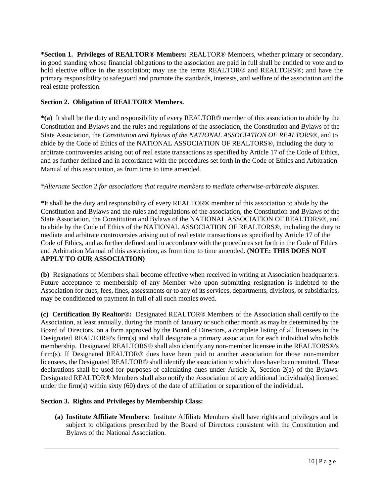**\*Section 1. Privileges of REALTOR® Members:** REALTOR® Members, whether primary or secondary, in good standing whose financial obligations to the association are paid in full shall be entitled to vote and to hold elective office in the association; may use the terms REALTOR<sup>®</sup> and REALTORS<sup>®</sup>; and have the primary responsibility to safeguard and promote the standards, interests, and welfare of the association and the real estate profession.

### **Section 2. Obligation of REALTOR® Members.**

**\*(a)** It shall be the duty and responsibility of every REALTOR® member of this association to abide by the Constitution and Bylaws and the rules and regulations of the association, the Constitution and Bylaws of the State Association, the *Constitution and Bylaws of the NATIONAL ASSOCIATION OF REALTORS*®, and to abide by the Code of Ethics of the NATIONAL ASSOCIATION OF REALTORS®, including the duty to arbitrate controversies arising out of real estate transactions as specified by Article 17 of the Code of Ethics, and as further defined and in accordance with the procedures set forth in the Code of Ethics and Arbitration Manual of this association, as from time to time amended.

#### *\*Alternate Section 2 for associations that require members to mediate otherwise-arbitrable disputes.*

\*It shall be the duty and responsibility of every REALTOR® member of this association to abide by the Constitution and Bylaws and the rules and regulations of the association, the Constitution and Bylaws of the State Association, the Constitution and Bylaws of the NATIONAL ASSOCIATION OF REALTORS®, and to abide by the Code of Ethics of the NATIONAL ASSOCIATION OF REALTORS®, including the duty to mediate and arbitrate controversies arising out of real estate transactions as specified by Article 17 of the Code of Ethics, and as further defined and in accordance with the procedures set forth in the Code of Ethics and Arbitration Manual of this association, as from time to time amended. **(NOTE: THIS DOES NOT APPLY TO OUR ASSOCIATION)** 

**(b)** Resignations of Members shall become effective when received in writing at Association headquarters. Future acceptance to membership of any Member who upon submitting resignation is indebted to the Association for dues, fees, fines, assessments or to any of its services, departments, divisions, or subsidiaries, may be conditioned to payment in full of all such monies owed.

**(c) Certification By Realtor®:** Designated REALTOR® Members of the Association shall certify to the Association, at least annually, during the month of January or such other month as may be determined by the Board of Directors, on a form approved by the Board of Directors, a complete listing of all licensees in the Designated REALTOR®'s firm(s) and shall designate a primary association for each individual who holds membership. Designated REALTORS® shall also identify any non-member licensee in the REALTORS®'s firm(s). If Designated REALTOR® dues have been paid to another association for those non-member licensees, the Designated REALTOR® shall identify the association to which dues have been remitted. These declarations shall be used for purposes of calculating dues under Article X, Section 2(a) of the Bylaws. Designated REALTOR® Members shall also notify the Association of any additional individual(s) licensed under the firm(s) within sixty (60) days of the date of affiliation or separation of the individual.

## **Section 3. Rights and Privileges by Membership Class:**

**(a) Institute Affiliate Members:** Institute Affiliate Members shall have rights and privileges and be subject to obligations prescribed by the Board of Directors consistent with the Constitution and Bylaws of the National Association.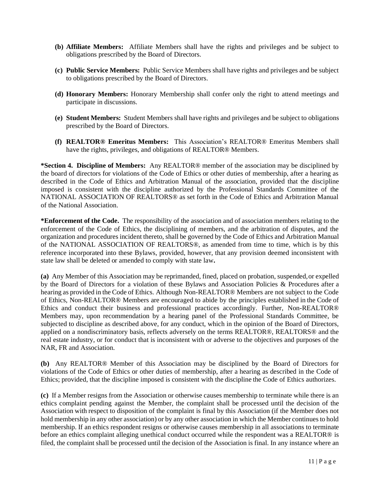- **(b) Affiliate Members:** Affiliate Members shall have the rights and privileges and be subject to obligations prescribed by the Board of Directors.
- **(c) Public Service Members:** Public Service Members shall have rights and privileges and be subject to obligations prescribed by the Board of Directors.
- **(d) Honorary Members:** Honorary Membership shall confer only the right to attend meetings and participate in discussions.
- **(e) Student Members:** Student Members shall have rights and privileges and be subject to obligations prescribed by the Board of Directors.
- **(f) REALTOR® Emeritus Members:** This Association's REALTOR® Emeritus Members shall have the rights, privileges, and obligations of REALTOR® Members.

**\*Section 4. Discipline of Members:** Any REALTOR® member of the association may be disciplined by the board of directors for violations of the Code of Ethics or other duties of membership, after a hearing as described in the Code of Ethics and Arbitration Manual of the association, provided that the discipline imposed is consistent with the discipline authorized by the Professional Standards Committee of the NATIONAL ASSOCIATION OF REALTORS® as set forth in the Code of Ethics and Arbitration Manual of the National Association.

**\*Enforcement of the Code.** The responsibility of the association and of association members relating to the enforcement of the Code of Ethics, the disciplining of members, and the arbitration of disputes, and the organization and procedures incident thereto, shall be governed by the Code of Ethics and Arbitration Manual of the NATIONAL ASSOCIATION OF REALTORS®, as amended from time to time, which is by this reference incorporated into these Bylaws, provided, however, that any provision deemed inconsistent with state law shall be deleted or amended to comply with state law**.**

**(a)** Any Member of this Association may be reprimanded, fined, placed on probation, suspended,or expelled by the Board of Directors for a violation of these Bylaws and Association Policies & Procedures after a hearing as provided in the Code of Ethics. Although Non-REALTOR® Members are not subject to the Code of Ethics, Non-REALTOR® Members are encouraged to abide by the principles established in the Code of Ethics and conduct their business and professional practices accordingly. Further, Non-REALTOR® Members may, upon recommendation by a hearing panel of the Professional Standards Committee, be subjected to discipline as described above, for any conduct, which in the opinion of the Board of Directors, applied on a nondiscriminatory basis, reflects adversely on the terms REALTOR®, REALTORS® and the real estate industry, or for conduct that is inconsistent with or adverse to the objectives and purposes of the NAR, FR and Association.

**(b)** Any REALTOR® Member of this Association may be disciplined by the Board of Directors for violations of the Code of Ethics or other duties of membership, after a hearing as described in the Code of Ethics; provided, that the discipline imposed is consistent with the discipline the Code of Ethics authorizes.

**(c)** If a Member resigns from the Association or otherwise causes membership to terminate while there is an ethics complaint pending against the Member, the complaint shall be processed until the decision of the Association with respect to disposition of the complaint is final by this Association (if the Member does not hold membership in any other association) or by any other association in which the Member continuesto hold membership. If an ethics respondent resigns or otherwise causes membership in all associations to terminate before an ethics complaint alleging unethical conduct occurred while the respondent was a REALTOR® is filed, the complaint shall be processed until the decision of the Association is final. In any instance where an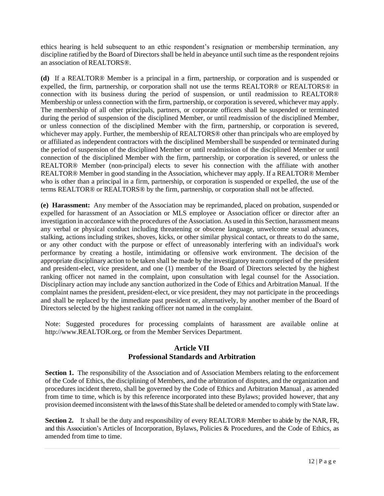ethics hearing is held subsequent to an ethic respondent's resignation or membership termination, any discipline ratified by the Board of Directors shall be held in abeyance until such time as the respondent rejoins an association of REALTORS®.

**(d)** If a REALTOR® Member is a principal in a firm, partnership, or corporation and is suspended or expelled, the firm, partnership, or corporation shall not use the terms REALTOR® or REALTORS® in connection with its business during the period of suspension, or until readmission to REALTOR® Membership or unless connection with the firm, partnership, or corporation is severed, whichever may apply. The membership of all other principals, partners, or corporate officers shall be suspended or terminated during the period of suspension of the disciplined Member, or until readmission of the disciplined Member, or unless connection of the disciplined Member with the firm, partnership, or corporation is severed, whichever may apply. Further, the membership of REALTORS<sup>®</sup> other than principals who are employed by or affiliated as independent contractors with the disciplined Membershall be suspended or terminated during the period of suspension of the disciplined Member or until readmission of the disciplined Member or until connection of the disciplined Member with the firm, partnership, or corporation is severed, or unless the REALTOR® Member (non-principal) elects to sever his connection with the affiliate with another REALTOR® Member in good standing in the Association, whichever may apply. If a REALTOR® Member who is other than a principal in a firm, partnership, or corporation is suspended or expelled, the use of the terms REALTOR® or REALTORS® by the firm, partnership, or corporation shall not be affected.

**(e) Harassment:** Any member of the Association may be reprimanded, placed on probation, suspended or expelled for harassment of an Association or MLS employee or Association officer or director after an investigation in accordance with the procedures of the Association. As used in this Section, harassment means any verbal or physical conduct including threatening or obscene language, unwelcome sexual advances, stalking, actions including strikes, shoves, kicks, or other similar physical contact, or threats to do the same, or any other conduct with the purpose or effect of unreasonably interfering with an individual's work performance by creating a hostile, intimidating or offensive work environment. The decision of the appropriate disciplinary action to be taken shall be made by the investigatory team comprised of the president and president-elect, vice president, and one (1) member of the Board of Directors selected by the highest ranking officer not named in the complaint, upon consultation with legal counsel for the Association. Disciplinary action may include any sanction authorized in the Code of Ethics and Arbitration Manual. If the complaint names the president, president-elect, or vice president, they may not participate in the proceedings and shall be replaced by the immediate past president or, alternatively, by another member of the Board of Directors selected by the highest ranking officer not named in the complaint.

Note: Suggested procedures for processing complaints of harassment are available online at [http://www.REALTOR.org,](http://www.realtor.org/) or from the Member Services Department.

## **Article VII Professional Standards and Arbitration**

**Section 1.** The responsibility of the Association and of Association Members relating to the enforcement of the Code of Ethics, the disciplining of Members, and the arbitration of disputes, and the organization and procedures incident thereto, shall be governed by the Code of Ethics and Arbitration Manual , as amended from time to time, which is by this reference incorporated into these Bylaws; provided however, that any provision deemed inconsistent with the laws of this State shall be deleted or amended to comply with State law.

**Section 2.** It shall be the duty and responsibility of every REALTOR® Member to abide by the NAR, FR, and this Association's Articles of Incorporation, Bylaws, Policies & Procedures, and the Code of Ethics, as amended from time to time.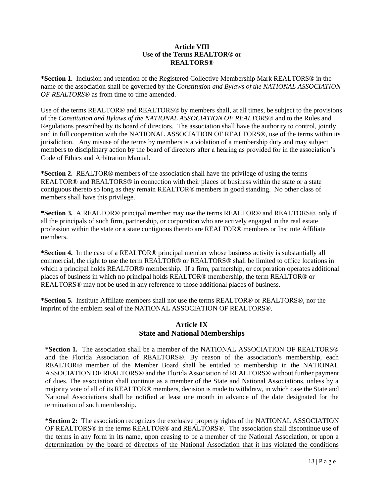#### **Article VIII Use of the Terms REALTOR® or REALTORS®**

**\*Section 1.** Inclusion and retention of the Registered Collective Membership Mark REALTORS® in the name of the association shall be governed by the *Constitution and Bylaws of the NATIONAL ASSOCIATION OF REALTORS®* as from time to time amended.

Use of the terms REALTOR® and REALTORS® by members shall, at all times, be subject to the provisions of the *Constitution and Bylaws of the NATIONAL ASSOCIATION OF REALTORS®* and to the Rules and Regulations prescribed by its board of directors. The association shall have the authority to control, jointly and in full cooperation with the NATIONAL ASSOCIATION OF REALTORS®, use of the terms within its jurisdiction. Any misuse of the terms by members is a violation of a membership duty and may subject members to disciplinary action by the board of directors after a hearing as provided for in the association's Code of Ethics and Arbitration Manual.

**\*Section 2.** REALTOR® members of the association shall have the privilege of using the terms REALTOR® and REALTORS® in connection with their places of business within the state or a state contiguous thereto so long as they remain REALTOR® members in good standing. No other class of members shall have this privilege.

**\*Section 3.** A REALTOR® principal member may use the terms REALTOR® and REALTORS®, only if all the principals of such firm, partnership, or corporation who are actively engaged in the real estate profession within the state or a state contiguous thereto are REALTOR® members or Institute Affiliate members.

**\*Section 4.** In the case of a REALTOR® principal member whose business activity is substantially all commercial, the right to use the term REALTOR® or REALTORS® shall be limited to office locations in which a principal holds REALTOR® membership. If a firm, partnership, or corporation operates additional places of business in which no principal holds REALTOR® membership, the term REALTOR® or REALTORS® may not be used in any reference to those additional places of business.

**\*Section 5.** Institute Affiliate members shall not use the terms REALTOR® or REALTORS®, nor the imprint of the emblem seal of the NATIONAL ASSOCIATION OF REALTORS®.

## **Article IX State and National Memberships**

**\*Section 1.** The association shall be a member of the NATIONAL ASSOCIATION OF REALTORS® and the Florida Association of REALTORS®. By reason of the association's membership, each REALTOR® member of the Member Board shall be entitled to membership in the NATIONAL ASSOCIATION OF REALTORS® and the Florida Association of REALTORS® without further payment of dues. The association shall continue as a member of the State and National Associations, unless by a majority vote of all of its REALTOR® members, decision is made to withdraw, in which case the State and National Associations shall be notified at least one month in advance of the date designated for the termination of such membership.

**\*Section 2:** The association recognizes the exclusive property rights of the NATIONAL ASSOCIATION OF REALTORS® in the terms REALTOR® and REALTORS®. The association shall discontinue use of the terms in any form in its name, upon ceasing to be a member of the National Association, or upon a determination by the board of directors of the National Association that it has violated the conditions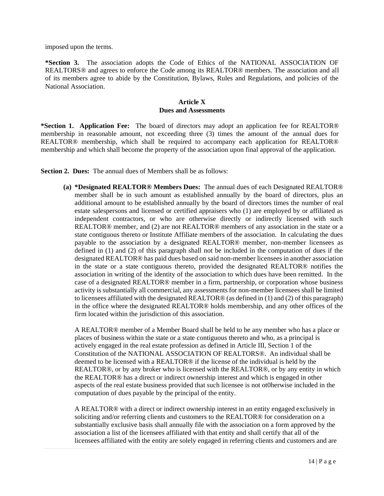imposed upon the terms.

**\*Section 3.** The association adopts the Code of Ethics of the NATIONAL ASSOCIATION OF REALTORS® and agrees to enforce the Code among its REALTOR® members. The association and all of its members agree to abide by the Constitution, Bylaws, Rules and Regulations, and policies of the National Association.

#### **Article X Dues and Assessments**

**\*Section 1. Application Fee:** The board of directors may adopt an application fee for REALTOR® membership in reasonable amount, not exceeding three (3) times the amount of the annual dues for REALTOR® membership, which shall be required to accompany each application for REALTOR® membership and which shall become the property of the association upon final approval of the application.

**Section 2. Dues:** The annual dues of Members shall be as follows:

**(a) \*Designated REALTOR® Members Dues:** The annual dues of each Designated REALTOR® member shall be in such amount as established annually by the board of directors, plus an additional amount to be established annually by the board of directors times the number of real estate salespersons and licensed or certified appraisers who (1) are employed by or affiliated as independent contractors, or who are otherwise directly or indirectly licensed with such REALTOR® member, and (2) are not REALTOR® members of any association in the state or a state contiguous thereto or Institute Affiliate members of the association. In calculating the dues payable to the association by a designated REALTOR® member, non-member licensees as defined in (1) and (2) of this paragraph shall not be included in the computation of dues if the designated REALTOR® has paid dues based on said non-member licensees in another association in the state or a state contiguous thereto, provided the designated REALTOR® notifies the association in writing of the identity of the association to which dues have been remitted. In the case of a designated REALTOR® member in a firm, partnership, or corporation whose business activity is substantially all commercial, any assessments for non-member licensees shall be limited to licensees affiliated with the designated REALTOR® (as defined in (1) and (2) of this paragraph) in the office where the designated REALTOR® holds membership, and any other offices of the firm located within the jurisdiction of this association.

A REALTOR® member of a Member Board shall be held to be any member who has a place or places of business within the state or a state contiguous thereto and who, as a principal is actively engaged in the real estate profession as defined in Article III, Section 1 of the Constitution of the NATIONAL ASSOCIATION OF REALTORS®. An individual shall be deemed to be licensed with a REALTOR® if the license of the individual is held by the REALTOR®, or by any broker who is licensed with the REALTOR®, or by any entity in which the REALTOR® has a direct or indirect ownership interest and which is engaged in other aspects of the real estate business provided that such licensee is not ot0herwise included in the computation of dues payable by the principal of the entity.

A REALTOR® with a direct or indirect ownership interest in an entity engaged exclusively in soliciting and/or referring clients and customers to the REALTOR® for consideration on a substantially exclusive basis shall annually file with the association on a form approved by the association a list of the licensees affiliated with that entity and shall certify that all of the licensees affiliated with the entity are solely engaged in referring clients and customers and are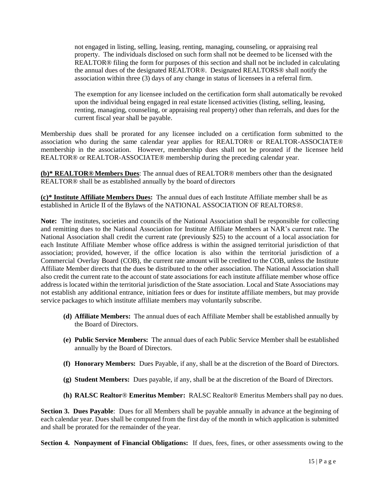not engaged in listing, selling, leasing, renting, managing, counseling, or appraising real property. The individuals disclosed on such form shall not be deemed to be licensed with the REALTOR® filing the form for purposes of this section and shall not be included in calculating the annual dues of the designated REALTOR®. Designated REALTORS® shall notify the association within three (3) days of any change in status of licensees in a referral firm.

The exemption for any licensee included on the certification form shall automatically be revoked upon the individual being engaged in real estate licensed activities (listing, selling, leasing, renting, managing, counseling, or appraising real property) other than referrals, and dues for the current fiscal year shall be payable.

Membership dues shall be prorated for any licensee included on a certification form submitted to the association who during the same calendar year applies for REALTOR® or REALTOR-ASSOCIATE® membership in the association. However, membership dues shall not be prorated if the licensee held REALTOR® or REALTOR-ASSOCIATE® membership during the preceding calendar year.

**(b)\* REALTOR® Members Dues**: The annual dues of REALTOR® members other than the designated REALTOR® shall be as established annually by the board of directors

**(c)\* Institute Affiliate Members Dues:** The annual dues of each Institute Affiliate member shall be as established in Article II of the Bylaws of the NATIONAL ASSOCIATION OF REALTORS®.

**Note:** The institutes, societies and councils of the National Association shall be responsible for collecting and remitting dues to the National Association for Institute Affiliate Members at NAR's current rate. The National Association shall credit the current rate (previously \$25) to the account of a local association for each Institute Affiliate Member whose office address is within the assigned territorial jurisdiction of that association; provided, however, if the office location is also within the territorial jurisdiction of a Commercial Overlay Board (COB), the current rate amount will be credited to the COB, unless the Institute Affiliate Member directs that the dues be distributed to the other association. The National Association shall also credit the current rate to the account of state associations for each institute affiliate member whose office address is located within the territorial jurisdiction of the State association. Local and State Associations may not establish any additional entrance, initiation fees or dues for institute affiliate members, but may provide service packages to which institute affiliate members may voluntarily subscribe.

- **(d) Affiliate Members:** The annual dues of each Affiliate Member shall be established annually by the Board of Directors.
- **(e) Public Service Members:** The annual dues of each Public Service Member shall be established annually by the Board of Directors.
- **(f) Honorary Members:** Dues Payable, if any, shall be at the discretion of the Board of Directors.
- **(g) Student Members:** Dues payable, if any, shall be at the discretion of the Board of Directors.
- **(h) RALSC Realtor**® **Emeritus Member:** RALSC Realtor® Emeritus Members shall pay no dues.

**Section 3. Dues Payable**: Dues for all Members shall be payable annually in advance at the beginning of each calendar year. Dues shall be computed from the first day of the month in which application is submitted and shall be prorated for the remainder of the year.

**Section 4. Nonpayment of Financial Obligations:** If dues, fees, fines, or other assessments owing to the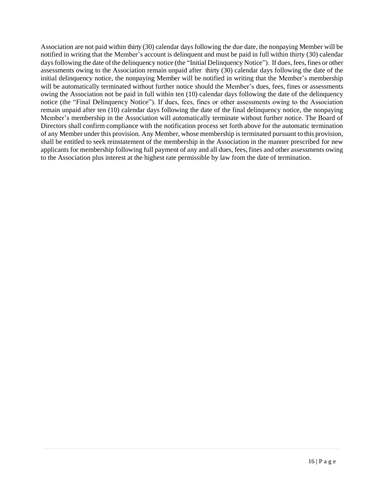Association are not paid within thirty (30) calendar days following the due date, the nonpaying Member will be notified in writing that the Member's account is delinquent and must be paid in full within thirty (30) calendar days following the date of the delinquency notice (the "Initial Delinquency Notice"). If dues, fees, fines or other assessments owing to the Association remain unpaid after thirty (30) calendar days following the date of the initial delinquency notice, the nonpaying Member will be notified in writing that the Member's membership will be automatically terminated without further notice should the Member's dues, fees, fines or assessments owing the Association not be paid in full within ten (10) calendar days following the date of the delinquency notice (the "Final Delinquency Notice"). If dues, fees, fines or other assessments owing to the Association remain unpaid after ten (10) calendar days following the date of the final delinquency notice, the nonpaying Member's membership in the Association will automatically terminate without further notice. The Board of Directors shall confirm compliance with the notification process set forth above for the automatic termination of any Member under this provision. Any Member, whose membership is terminated pursuant to this provision, shall be entitled to seek reinstatement of the membership in the Association in the manner prescribed for new applicants for membership following full payment of any and all dues, fees, fines and other assessments owing to the Association plus interest at the highest rate permissible by law from the date of termination.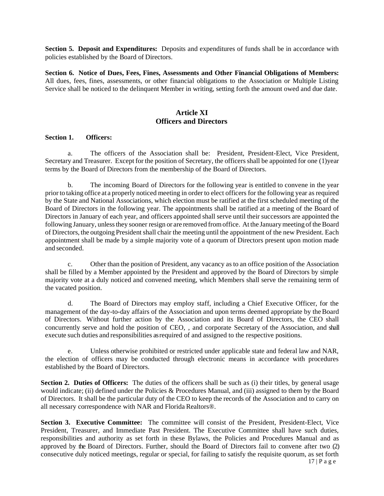**Section 5. Deposit and Expenditures:** Deposits and expenditures of funds shall be in accordance with policies established by the Board of Directors.

**Section 6. Notice of Dues, Fees, Fines, Assessments and Other Financial Obligations of Members:**  All dues, fees, fines, assessments, or other financial obligations to the Association or Multiple Listing Service shall be noticed to the delinquent Member in writing, setting forth the amount owed and due date.

## **Article XI Officers and Directors**

#### **Section 1. Officers:**

a. The officers of the Association shall be: President, President-Elect, Vice President, Secretary and Treasurer. Except for the position of Secretary, the officers shall be appointed for one (1)year terms by the Board of Directors from the membership of the Board of Directors.

b. The incoming Board of Directors for the following year is entitled to convene in the year prior to taking office at a properly noticed meeting in order to elect officers for the following year as required by the State and National Associations, which election must be ratified at the first scheduled meeting of the Board of Directors in the following year. The appointments shall be ratified at a meeting of the Board of Directors in January of each year, and officers appointed shall serve until their successors are appointed the following January, unless they sooner resign or are removed from office. At the January meeting of the Board of Directors, the outgoing President shall chair the meeting until the appointment of the new President. Each appointment shall be made by a simple majority vote of a quorum of Directors present upon motion made and seconded.

c. Other than the position of President, any vacancy as to an office position of the Association shall be filled by a Member appointed by the President and approved by the Board of Directors by simple majority vote at a duly noticed and convened meeting, which Members shall serve the remaining term of the vacated position.

d. The Board of Directors may employ staff, including a Chief Executive Officer, for the management of the day-to-day affairs of the Association and upon terms deemed appropriate by theBoard of Directors. Without further action by the Association and its Board of Directors, the CEO shall concurrently serve and hold the position of CEO, , and corporate Secretary of the Association, and shall execute such duties and responsibilities as required of and assigned to the respective positions.

e. Unless otherwise prohibited or restricted under applicable state and federal law and NAR, the election of officers may be conducted through electronic means in accordance with procedures established by the Board of Directors.

**Section 2. Duties of Officers:** The duties of the officers shall be such as (i) their titles, by general usage would indicate; (ii) defined under the Policies & Procedures Manual, and (iii) assigned to them by the Board of Directors. It shall be the particular duty of the CEO to keep the records of the Association and to carry on all necessary correspondence with NAR and Florida Realtors®.

 $17 | P a g e$ **Section 3. Executive Committee:** The committee will consist of the President, President-Elect, Vice President, Treasurer, and Immediate Past President. The Executive Committee shall have such duties, responsibilities and authority as set forth in these Bylaws, the Policies and Procedures Manual and as approved by the Board of Directors. Further, should the Board of Directors fail to convene after two (2) consecutive duly noticed meetings, regular or special, for failing to satisfy the requisite quorum, as set forth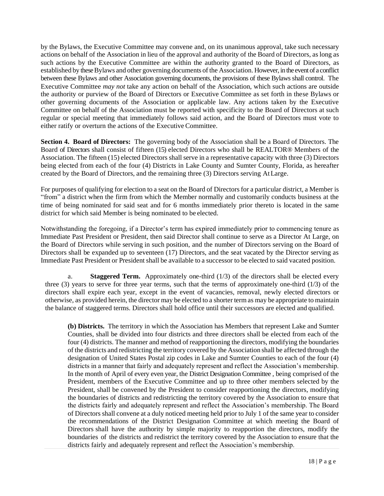by the Bylaws, the Executive Committee may convene and, on its unanimous approval, take such necessary actions on behalf of the Association in lieu of the approval and authority of the Board of Directors, as long as such actions by the Executive Committee are within the authority granted to the Board of Directors, as established by these Bylaws and other governing documents of the Association. However, in the event of a conflict between these Bylaws and other Association governing documents, the provisions of these Bylaws shall control. The Executive Committee *may not* take any action on behalf of the Association, which such actions are outside the authority or purview of the Board of Directors or Executive Committee as set forth in these Bylaws or other governing documents of the Association or applicable law. Any actions taken by the Executive Committee on behalf of the Association must be reported with specificity to the Board of Directors at such regular or special meeting that immediately follows said action, and the Board of Directors must vote to either ratify or overturn the actions of the Executive Committee.

**Section 4. Board of Directors:** The governing body of the Association shall be a Board of Directors. The Board of Directors shall consist of fifteen (15) elected Directors who shall be REALTOR® Members of the Association. The fifteen (15) elected Directors shall serve in a representative capacity with three (3) Directors being elected from each of the four (4) Districts in Lake County and Sumter County, Florida, as hereafter created by the Board of Directors, and the remaining three (3) Directors serving AtLarge.

For purposes of qualifying for election to a seat on the Board of Directors for a particular district, a Member is "from" a district when the firm from which the Member normally and customarily conducts business at the time of being nominated for said seat and for 6 months immediately prior thereto is located in the same district for which said Member is being nominated to be elected.

Notwithstanding the foregoing, if a Director's term has expired immediately prior to commencing tenure as Immediate Past President or President, then said Director shall continue to serve as a Director At Large, on the Board of Directors while serving in such position, and the number of Directors serving on the Board of Directors shall be expanded up to seventeen (17) Directors, and the seat vacated by the Director serving as Immediate Past President or President shall be available to a successor to be elected to said vacated position.

a. **Staggered Term.** Approximately one-third (1/3) of the directors shall be elected every three (3) years to serve for three year terms, such that the terms of approximately one-third (1/3) of the directors shall expire each year, except in the event of vacancies, removal, newly elected directors or otherwise, as provided herein, the director may be elected to a shorter termas may be appropriate to maintain the balance of staggered terms. Directors shall hold office until their successors are elected and qualified.

**(b) Districts.** The territory in which the Association has Members that represent Lake and Sumter Counties, shall be divided into four districts and three directors shall be elected from each of the four (4) districts. The manner and method of reapportioning the directors, modifying the boundaries of the districts and redistricting the territory covered by the Association shall be affected through the designation of United States Postal zip codes in Lake and Sumter Counties to each of the four (4) districts in a manner that fairly and adequately represent and reflect the Association's membership. In the month of April of every even year, the District Designation Committee , being comprised of the President, members of the Executive Committee and up to three other members selected by the President, shall be convened by the President to consider reapportioning the directors, modifying the boundaries of districts and redistricting the territory covered by the Association to ensure that the districts fairly and adequately represent and reflect the Association's membership. The Board of Directors shall convene at a duly noticed meeting held prior to July 1 of the same year to consider the recommendations of the District Designation Committee at which meeting the Board of Directors shall have the authority by simple majority to reapportion the directors, modify the boundaries of the districts and redistrict the territory covered by the Association to ensure that the districts fairly and adequately represent and reflect the Association's membership.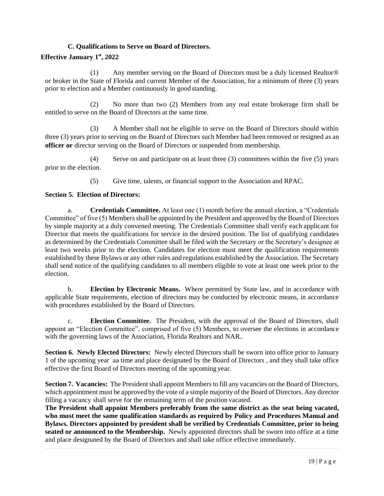## **C. Qualifications to Serve on Board of Directors.**

## **Effective January 1st, 2022**

(1) Any member serving on the Board of Directors must be a duly licensed Realtor® or broker in the State of Florida and current Member of the Association, for a minimum of three (3) years prior to election and a Member continuously in good standing.

(2) No more than two (2) Members from any real estate brokerage firm shall be entitled to serve on the Board of Directors at the same time.

(3) A Member shall not be eligible to serve on the Board of Directors should within three (3) years prior to serving on the Board of Directors such Member had been removed or resigned as an **officer or** director serving on the Board of Directors or suspended from membership.

(4) Serve on and participate on at least three (3) committees within the five (5) years prior to the election.

(5) Give time, talents, or financial support to the Association and RPAC.

## **Section 5. Election of Directors:**

a. **Credentials Committee.** At least one (1) month before the annual election, a "Credentials Committee" of five (5) Members shall be appointed by the President and approved by the Board of Directors by simple majority at a duly convened meeting. The Credentials Committee shall verify each applicant for Director that meets the qualifications for service in the desired position. The list of qualifying candidates as determined by the Credentials Committee shall be filed with the Secretary or the Secretary's designee at least two weeks prior to the election. Candidates for election must meet the qualification requirements established by these Bylaws or any other rules and regulations established by the Association. The Secretary shall send notice of the qualifying candidates to all members eligible to vote at least one week prior to the election.

b. **Election by Electronic Means.** Where permitted by State law, and in accordance with applicable State requirements, election of directors may be conducted by electronic means, in accordance with procedures established by the Board of Directors.

c. **Election Committee.** The President, with the approval of the Board of Directors, shall appoint an "Election Committee", comprised of five (5) Members, to oversee the elections in accordance with the governing laws of the Association, Florida Realtors and NAR..

**Section 6. Newly Elected Directors:** Newly elected Directors shall be sworn into office prior to January 1 of the upcoming year aa time and place designated by the Board of Directors , and they shall take office effective the first Board of Directors meeting of the upcoming year.

**Section 7. Vacancies:** The President shall appoint Members to fill any vacancies on the Board of Directors, which appointment must be approved by the vote of a simple majority of the Board of Directors. Any director filling a vacancy shall serve for the remaining term of the position vacated.

**The President shall appoint Members preferably from the same district as the seat being vacated, who must meet the same qualification standards as required by Policy and Procedures Manual and Bylaws. Directors appointed by president shall be verified by Credentials Committee, prior to being seated or announced to the Membership.** Newly appointed directors shall be sworn into office at a time and place designated by the Board of Directors and shall take office effective immediately.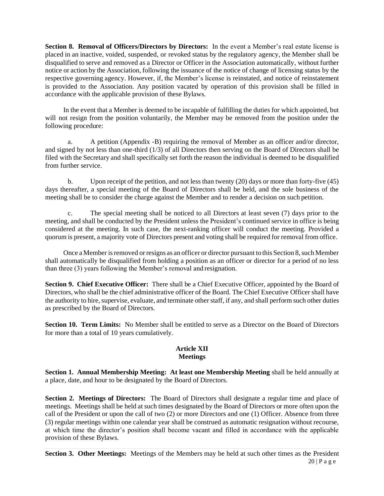**Section 8. Removal of Officers/Directors by Directors:** In the event a Member's real estate license is placed in an inactive, voided, suspended, or revoked status by the regulatory agency, the Member shall be disqualified to serve and removed as a Director or Officer in the Association automatically, without further notice or action by the Association, following the issuance of the notice of change of licensing status by the respective governing agency. However, if, the Member's license is reinstated, and notice of reinstatement is provided to the Association. Any position vacated by operation of this provision shall be filled in accordance with the applicable provision of these Bylaws.

In the event that a Member is deemed to be incapable of fulfilling the duties for which appointed, but will not resign from the position voluntarily, the Member may be removed from the position under the following procedure:

a. A petition (Appendix -B) requiring the removal of Member as an officer and/or director, and signed by not less than one-third (1/3) of all Directors then serving on the Board of Directors shall be filed with the Secretary and shall specifically set forth the reason the individual is deemed to be disqualified from further service.

b. Upon receipt of the petition, and not less than twenty (20) days or more than forty-five (45) days thereafter, a special meeting of the Board of Directors shall be held, and the sole business of the meeting shall be to consider the charge against the Member and to render a decision on such petition.

c. The special meeting shall be noticed to all Directors at least seven (7) days prior to the meeting, and shall be conducted by the President unless the President's continued service in office is being considered at the meeting. In such case, the next-ranking officer will conduct the meeting. Provided a quorum is present, a majority vote of Directors present and voting shall be required for removal from office.

Once a Member is removed or resigns as an officer or director pursuant to this Section 8, such Member shall automatically be disqualified from holding a position as an officer or director for a period of no less than three (3) years following the Member's removal and resignation.

**Section 9. Chief Executive Officer:** There shall be a Chief Executive Officer, appointed by the Board of Directors, who shall be the chief administrative officer of the Board. The Chief Executive Officer shall have the authority to hire, supervise, evaluate, and terminate other staff, if any, and shall perform such other duties as prescribed by the Board of Directors.

**Section 10. Term Limits:** No Member shall be entitled to serve as a Director on the Board of Directors for more than a total of 10 years cumulatively.

#### **Article XII Meetings**

**Section 1. Annual Membership Meeting: At least one Membership Meeting** shall be held annually at a place, date, and hour to be designated by the Board of Directors.

**Section 2. Meetings of Directors:** The Board of Directors shall designate a regular time and place of meetings. Meetings shall be held at such times designated by the Board of Directors or more often upon the call of the President or upon the call of two (2) or more Directors and one (1) Officer. Absence from three (3) regular meetings within one calendar year shall be construed as automatic resignation without recourse, at which time the director's position shall become vacant and filled in accordance with the applicable provision of these Bylaws.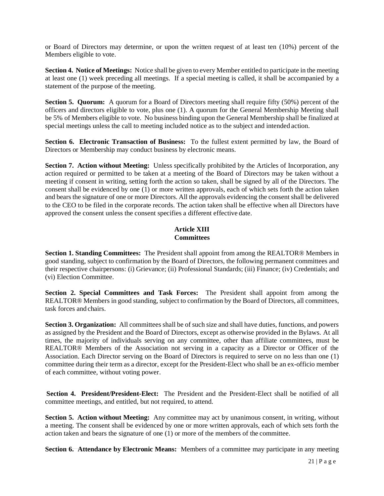or Board of Directors may determine, or upon the written request of at least ten (10%) percent of the Members eligible to vote.

**Section 4. Notice of Meetings:** Notice shall be given to every Member entitled to participate in the meeting at least one (1) week preceding all meetings. If a special meeting is called, it shall be accompanied by a statement of the purpose of the meeting.

**Section 5. Quorum:** A quorum for a Board of Directors meeting shall require fifty (50%) percent of the officers and directors eligible to vote, plus one (1). A quorum for the General Membership Meeting shall be 5% of Members eligible to vote. No business binding upon the General Membership shall be finalized at special meetings unless the call to meeting included notice as to the subject and intended action.

Section 6. Electronic Transaction of Business: To the fullest extent permitted by law, the Board of Directors or Membership may conduct business by electronic means.

**Section 7. Action without Meeting:** Unless specifically prohibited by the Articles of Incorporation, any action required or permitted to be taken at a meeting of the Board of Directors may be taken without a meeting if consent in writing, setting forth the action so taken, shall be signed by all of the Directors. The consent shall be evidenced by one (1) or more written approvals, each of which sets forth the action taken and bears the signature of one or more Directors. All the approvals evidencing the consent shall be delivered to the CEO to be filed in the corporate records. The action taken shall be effective when all Directors have approved the consent unless the consent specifies a different effective date.

#### **Article XIII Committees**

**Section 1. Standing Committees:** The President shall appoint from among the REALTOR® Members in good standing, subject to confirmation by the Board of Directors, the following permanent committees and their respective chairpersons: (i) Grievance; (ii) Professional Standards; (iii) Finance; (iv) Credentials; and (vi) Election Committee.

**Section 2. Special Committees and Task Forces:** The President shall appoint from among the REALTOR® Members in good standing, subject to confirmation by the Board of Directors, all committees, task forces and chairs.

**Section 3. Organization:** All committees shall be of such size and shall have duties, functions, and powers as assigned by the President and the Board of Directors, except as otherwise provided in the Bylaws. At all times, the majority of individuals serving on any committee, other than affiliate committees, must be REALTOR® Members of the Association not serving in a capacity as a Director or Officer of the Association. Each Director serving on the Board of Directors is required to serve on no less than one (1) committee during their term as a director, except for the President-Elect who shall be an ex-officio member of each committee, without voting power.

**Section 4. President/President-Elect:** The President and the President-Elect shall be notified of all committee meetings, and entitled, but not required, to attend.

**Section 5. Action without Meeting:** Any committee may act by unanimous consent, in writing, without a meeting. The consent shall be evidenced by one or more written approvals, each of which sets forth the action taken and bears the signature of one (1) or more of the members of the committee.

**Section 6. Attendance by Electronic Means:** Members of a committee may participate in any meeting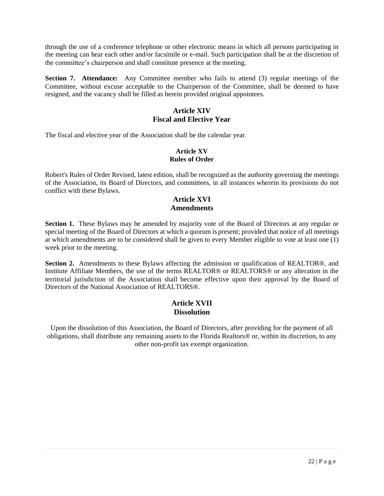through the use of a conference telephone or other electronic means in which all persons participating in the meeting can hear each other and/or facsimile or e-mail. Such participation shall be at the discretion of the committee's chairperson and shall constitute presence at the meeting.

**Section 7. Attendance:** Any Committee member who fails to attend (3) regular meetings of the Committee, without excuse acceptable to the Chairperson of the Committee, shall be deemed to have resigned, and the vacancy shall be filled as herein provided original appointees.

## **Article XIV Fiscal and Elective Year**

The fiscal and elective year of the Association shall be the calendar year.

#### **Article XV Rules of Order**

Robert's Rules of Order Revised, latest edition, shall be recognized as the authority governing the meetings of the Association, its Board of Directors, and committees, in all instances wherein its provisions do not conflict with these Bylaws.

## **Article XVI Amendments**

Section 1. These Bylaws may be amended by majority vote of the Board of Directors at any regular or special meeting of the Board of Directors at which a quorum is present; provided that notice of all meetings at which amendments are to be considered shall be given to every Member eligible to vote at least one (1) week prior to the meeting.

**Section 2.** Amendments to these Bylaws affecting the admission or qualification of REALTOR®, and Institute Affiliate Members, the use of the terms REALTOR® or REALTORS® or any alteration in the territorial jurisdiction of the Association shall become effective upon their approval by the Board of Directors of the National Association of REALTORS®.

## **Article XVII Dissolution**

Upon the dissolution of this Association, the Board of Directors, after providing for the payment of all obligations, shall distribute any remaining assets to the Florida Realtors® or, within its discretion, to any other non-profit tax exempt organization.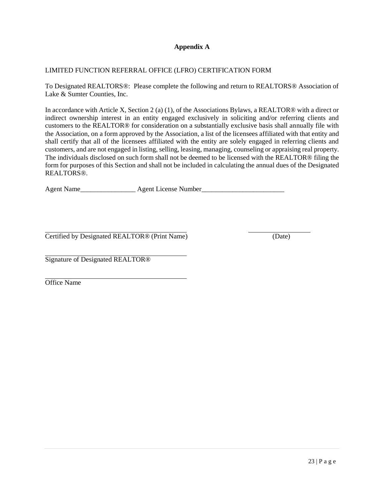## **Appendix A**

#### LIMITED FUNCTION REFERRAL OFFICE (LFRO) CERTIFICATION FORM

To Designated REALTORS®: Please complete the following and return to REALTORS® Association of Lake & Sumter Counties, Inc.

In accordance with Article X, Section 2 (a) (1), of the Associations Bylaws, a REALTOR® with a direct or indirect ownership interest in an entity engaged exclusively in soliciting and/or referring clients and customers to the REALTOR® for consideration on a substantially exclusive basis shall annually file with the Association, on a form approved by the Association, a list of the licensees affiliated with that entity and shall certify that all of the licensees affiliated with the entity are solely engaged in referring clients and customers, and are not engaged in listing, selling, leasing, managing, counseling or appraising real property. The individuals disclosed on such form shall not be deemed to be licensed with the REALTOR® filing the form for purposes of this Section and shall not be included in calculating the annual dues of the Designated REALTORS®.

Agent Name\_\_\_\_\_\_\_\_\_\_\_\_\_\_\_\_ Agent License Number\_\_\_\_\_\_\_\_\_\_\_\_\_\_\_\_\_\_\_\_\_\_\_\_

Certified by Designated REALTOR® (Print Name) (Date)

Signature of Designated REALTOR®

Office Name